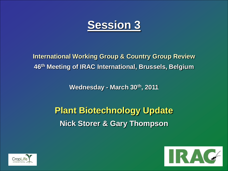

**International Working Group & Country Group Review 46th Meeting of IRAC International, Brussels, Belgium**

**Wednesday - March 30th, 2011**

**Plant Biotechnology Update Nick Storer & Gary Thompson**



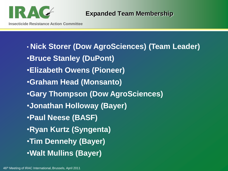

• **Nick Storer (Dow AgroSciences) (Team Leader)** •**Bruce Stanley (DuPont)** •**Elizabeth Owens (Pioneer)** •**Graham Head (Monsanto)** •**Gary Thompson (Dow AgroSciences)** •**Jonathan Holloway (Bayer)** •**Paul Neese (BASF)** •**Ryan Kurtz (Syngenta)** •**Tim Dennehy (Bayer)** •**Walt Mullins (Bayer)**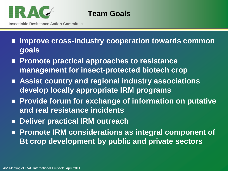

**Team Goals**

- **Improve cross-industry cooperation towards common goals**
- Promote practical approaches to resistance **management for insect-protected biotech crop**
- **Assist country and regional industry associations develop locally appropriate IRM programs**
- Provide forum for exchange of information on putative **and real resistance incidents**
- **Deliver practical IRM outreach**
- Promote IRM considerations as integral component of **Bt crop development by public and private sectors**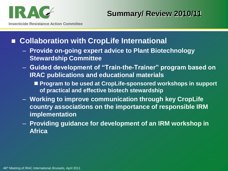

### **Collaboration with CropLife International**

- **Provide on-going expert advice to Plant Biotechnology Stewardship Committee**
- **Guided development of "Train-the-Trainer" program based on IRAC publications and educational materials**
	- Program to be used at CropLife-sponsored workshops in support **of practical and effective biotech stewardship**
- **Working to improve communication through key CropLife country associations on the importance of responsible IRM implementation**
- **Providing guidance for development of an IRM workshop in Africa**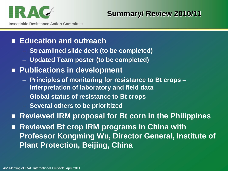

**Summary/ Review 2010/11**

### ■ Education and outreach

- **Streamlined slide deck (to be completed)**
- **Updated Team poster (to be completed)**

## **Publications in development**

- **Principles of monitoring for resistance to Bt crops – interpretation of laboratory and field data**
- **Global status of resistance to Bt crops**
- **Several others to be prioritized**

## ■ Reviewed IRM proposal for Bt corn in the Philippines

■ Reviewed Bt crop **IRM programs in China with Professor Kongming Wu, Director General, Institute of Plant Protection, Beijing, China**